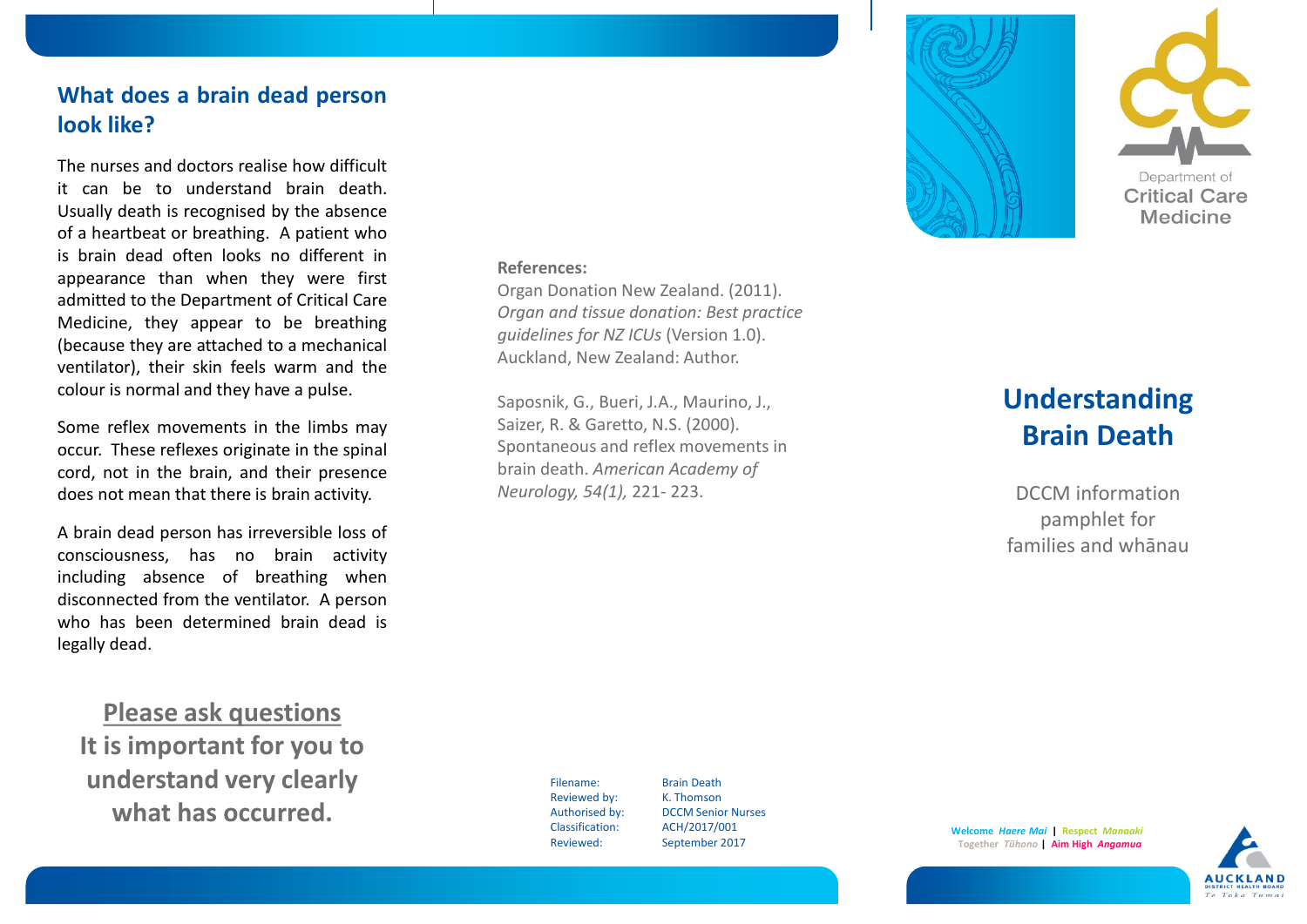# **What does a brain dead person look like?**

The nurses and doctors realise how difficult it can be to understand brain death. Usually death is recognised by the absence of a heartbeat or breathing. A patient who is brain dead often looks no different in appearance than when they were first admitted to the Department of Critical Care Medicine, they appear to be breathing (because they are attached to a mechanical ventilator), their skin feels warm and the colour is normal and they have a pulse.

Some reflex movements in the limbs may occur. These reflexes originate in the spinal cord, not in the brain, and their presence does not mean that there is brain activity.

A brain dead person has irreversible loss of consciousness, has no brain activity including absence of breathing when disconnected from the ventilator. A person who has been determined brain dead is legally dead.

**Please ask questions It is important for you to understand very clearly what has occurred.**

#### **References:**

Organ Donation New Zealand. (2011). *Organ and tissue donation: Best practice guidelines for NZ ICUs* (Version 1.0). Auckland, New Zealand: Author.

Saposnik, G., Bueri, J.A., Maurino, J., Saizer, R. & Garetto, N.S. (2000). Spontaneous and reflex movements in brain death. *American Academy of Neurology, 54(1),* 221- 223.





# **Understanding Brain Death**

DCCM information pamphlet for families and whānau

Filename: Brain Death Reviewed by: K. Thomson Classification: ACH/2017/001 Reviewed: September 2017

Authorised by: DCCM Senior Nurses

**Welcome** *Haere Mai* **| Respect** *Manaaki* **Together** *Tūhono* **| Aim High** *Angamua*